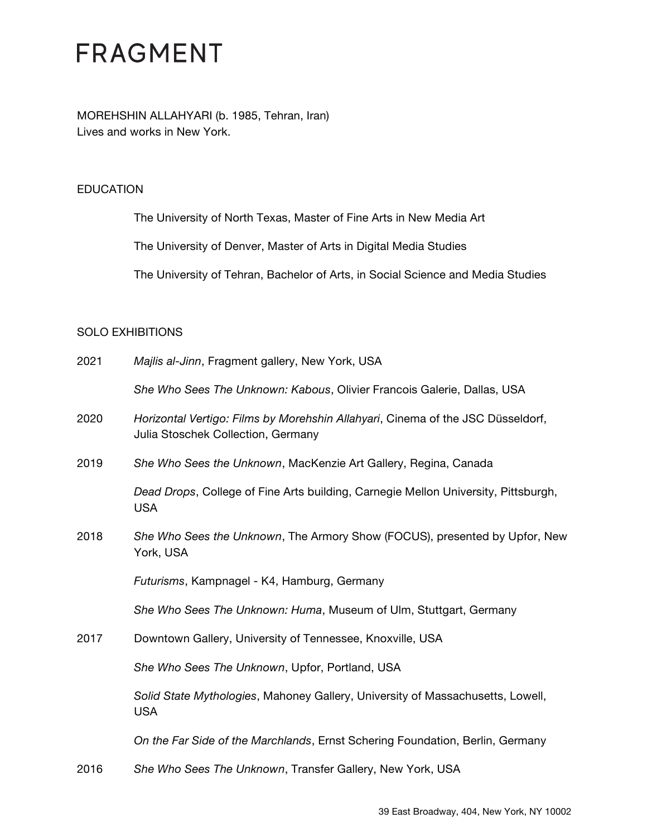MOREHSHIN ALLAHYARI (b. 1985, Tehran, Iran) Lives and works in New York.

#### **EDUCATION**

The University of North Texas, Master of Fine Arts in New Media Art

The University of Denver, Master of Arts in Digital Media Studies

The University of Tehran, Bachelor of Arts, in Social Science and Media Studies

#### SOLO EXHIBITIONS

| 2021 | Majlis al-Jinn, Fragment gallery, New York, USA                                                                       |
|------|-----------------------------------------------------------------------------------------------------------------------|
|      | She Who Sees The Unknown: Kabous, Olivier Francois Galerie, Dallas, USA                                               |
| 2020 | Horizontal Vertigo: Films by Morehshin Allahyari, Cinema of the JSC Düsseldorf,<br>Julia Stoschek Collection, Germany |
| 2019 | She Who Sees the Unknown, MacKenzie Art Gallery, Regina, Canada                                                       |
|      | Dead Drops, College of Fine Arts building, Carnegie Mellon University, Pittsburgh,<br><b>USA</b>                      |
| 2018 | She Who Sees the Unknown, The Armory Show (FOCUS), presented by Upfor, New<br>York, USA                               |
|      | Futurisms, Kampnagel - K4, Hamburg, Germany                                                                           |
|      | She Who Sees The Unknown: Huma, Museum of Ulm, Stuttgart, Germany                                                     |
| 2017 | Downtown Gallery, University of Tennessee, Knoxville, USA                                                             |
|      | She Who Sees The Unknown, Upfor, Portland, USA                                                                        |
|      | Solid State Mythologies, Mahoney Gallery, University of Massachusetts, Lowell,<br><b>USA</b>                          |
|      | On the Far Side of the Marchlands, Ernst Schering Foundation, Berlin, Germany                                         |
| 2016 | She Who Sees The Unknown, Transfer Gallery, New York, USA                                                             |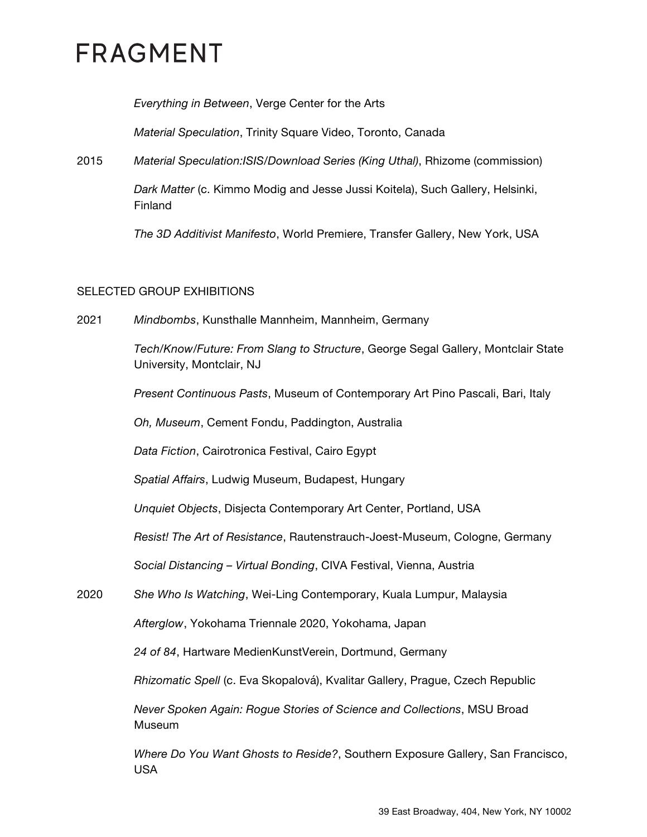*Everything in Between*, Verge Center for the Arts

*Material Speculation*, Trinity Square Video, Toronto, Canada

2015 *Material Speculation:ISIS/Download Series (King Uthal)*, Rhizome (commission)

*Dark Matter* (c. Kimmo Modig and Jesse Jussi Koitela), Such Gallery, Helsinki, Finland

*The 3D Additivist Manifesto*, World Premiere, Transfer Gallery, New York, USA

#### SELECTED GROUP EXHIBITIONS

2021 *Mindbombs*, Kunsthalle Mannheim, Mannheim, Germany

*Tech/Know/Future: From Slang to Structure*, George Segal Gallery, Montclair State University, Montclair, NJ

*Present Continuous Pasts*, Museum of Contemporary Art Pino Pascali, Bari, Italy

*Oh, Museum*, Cement Fondu, Paddington, Australia

*Data Fiction*, Cairotronica Festival, Cairo Egypt

*Spatial Affairs*, Ludwig Museum, Budapest, Hungary

*Unquiet Objects*, Disjecta Contemporary Art Center, Portland, USA

*Resist! The Art of Resistance*, Rautenstrauch-Joest-Museum, Cologne, Germany

*Social Distancing – Virtual Bonding*, CIVA Festival, Vienna, Austria

2020 *She Who Is Watching*, Wei-Ling Contemporary, Kuala Lumpur, Malaysia

*Afterglow*, Yokohama Triennale 2020, Yokohama, Japan

*24 of 84*, Hartware MedienKunstVerein, Dortmund, Germany

*Rhizomatic Spell* (c. Eva Skopalová), Kvalitar Gallery, Prague, Czech Republic

*Never Spoken Again: Rogue Stories of Science and Collections*, MSU Broad Museum

*Where Do You Want Ghosts to Reside?*, Southern Exposure Gallery, San Francisco, USA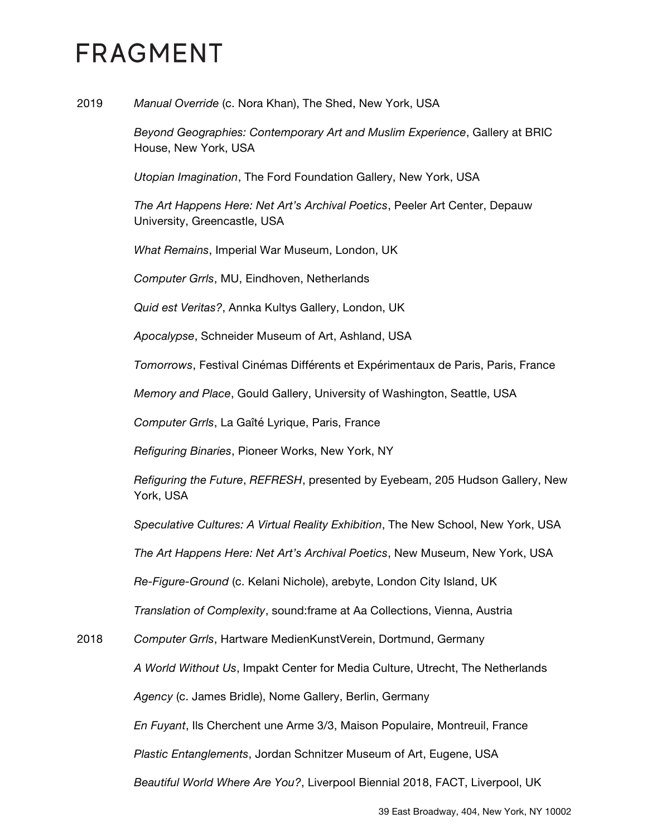2019 *Manual Override* (c. Nora Khan), The Shed, New York, USA

*Beyond Geographies: Contemporary Art and Muslim Experience*, Gallery at BRIC House, New York, USA

*Utopian Imagination*, The Ford Foundation Gallery, New York, USA

*The Art Happens Here: Net Art's Archival Poetics*, Peeler Art Center, Depauw University, Greencastle, USA

*What Remains*, Imperial War Museum, London, UK

*Computer Grrls*, MU, Eindhoven, Netherlands

*Quid est Veritas?*, Annka Kultys Gallery, London, UK

*Apocalypse*, Schneider Museum of Art, Ashland, USA

*Tomorrows*, Festival Cinémas Différents et Expérimentaux de Paris, Paris, France

*Memory and Place*, Gould Gallery, University of Washington, Seattle, USA

*Computer Grrls*, La Gaîté Lyrique, Paris, France

*Refiguring Binaries*, Pioneer Works, New York, NY

*Refiguring the Future*, *REFRESH*, presented by Eyebeam, 205 Hudson Gallery, New York, USA

*Speculative Cultures: A Virtual Reality Exhibition*, The New School, New York, USA

*The Art Happens Here: Net Art's Archival Poetics*, New Museum, New York, USA

*Re-Figure-Ground* (c. Kelani Nichole), arebyte, London City Island, UK

*Translation of Complexity*, sound:frame at Aa Collections, Vienna, Austria

2018 *Computer Grrls*, Hartware MedienKunstVerein, Dortmund, Germany

*A World Without Us*, Impakt Center for Media Culture, Utrecht, The Netherlands

*Agency* (c. James Bridle), Nome Gallery, Berlin, Germany

*En Fuyant*, Ils Cherchent une Arme 3/3, Maison Populaire, Montreuil, France

*Plastic Entanglements*, Jordan Schnitzer Museum of Art, Eugene, USA

*Beautiful World Where Are You?*, Liverpool Biennial 2018, FACT, Liverpool, UK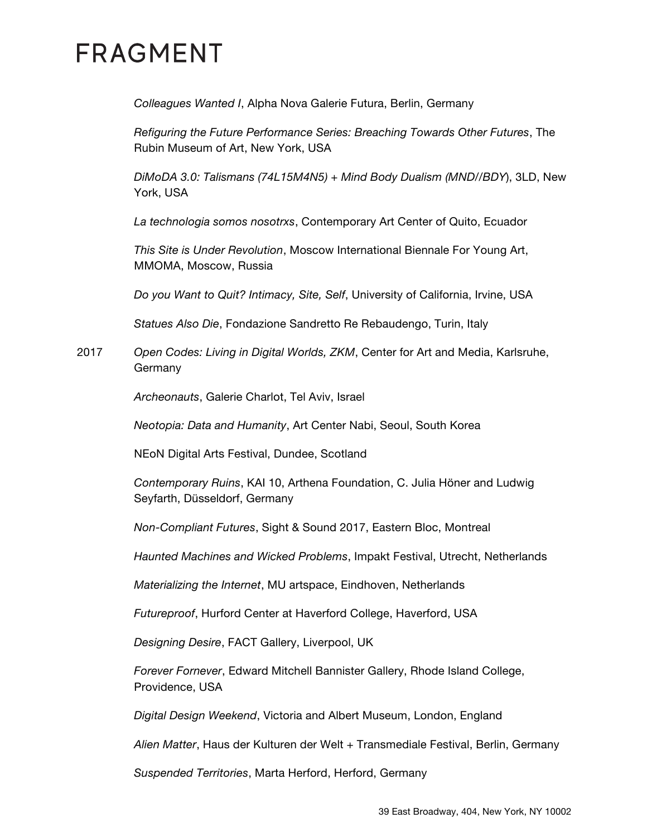*Colleagues Wanted I*, Alpha Nova Galerie Futura, Berlin, Germany

*Refiguring the Future Performance Series: Breaching Towards Other Futures*, The Rubin Museum of Art, New York, USA

*DiMoDA 3.0: Talismans (74L15M4N5) + Mind Body Dualism (MND//BDY*), 3LD, New York, USA

*La technologia somos nosotrxs*, Contemporary Art Center of Quito, Ecuador

*This Site is Under Revolution*, Moscow International Biennale For Young Art, MMOMA, Moscow, Russia

*Do you Want to Quit? Intimacy, Site, Self*, University of California, Irvine, USA

*Statues Also Die*, Fondazione Sandretto Re Rebaudengo, Turin, Italy

2017 *Open Codes: Living in Digital Worlds, ZKM*, Center for Art and Media, Karlsruhe, Germany

*Archeonauts*, Galerie Charlot, Tel Aviv, Israel

*Neotopia: Data and Humanity*, Art Center Nabi, Seoul, South Korea

NEoN Digital Arts Festival, Dundee, Scotland

*Contemporary Ruins*, KAI 10, Arthena Foundation, C. Julia Höner and Ludwig Seyfarth, Düsseldorf, Germany

*Non-Compliant Futures*, Sight & Sound 2017, Eastern Bloc, Montreal

*Haunted Machines and Wicked Problems*, Impakt Festival, Utrecht, Netherlands

*Materializing the Internet*, MU artspace, Eindhoven, Netherlands

*Futureproof*, Hurford Center at Haverford College, Haverford, USA

*Designing Desire*, FACT Gallery, Liverpool, UK

*Forever Fornever*, Edward Mitchell Bannister Gallery, Rhode Island College, Providence, USA

*Digital Design Weekend*, Victoria and Albert Museum, London, England

*Alien Matter*, Haus der Kulturen der Welt + Transmediale Festival, Berlin, Germany

*Suspended Territories*, Marta Herford, Herford, Germany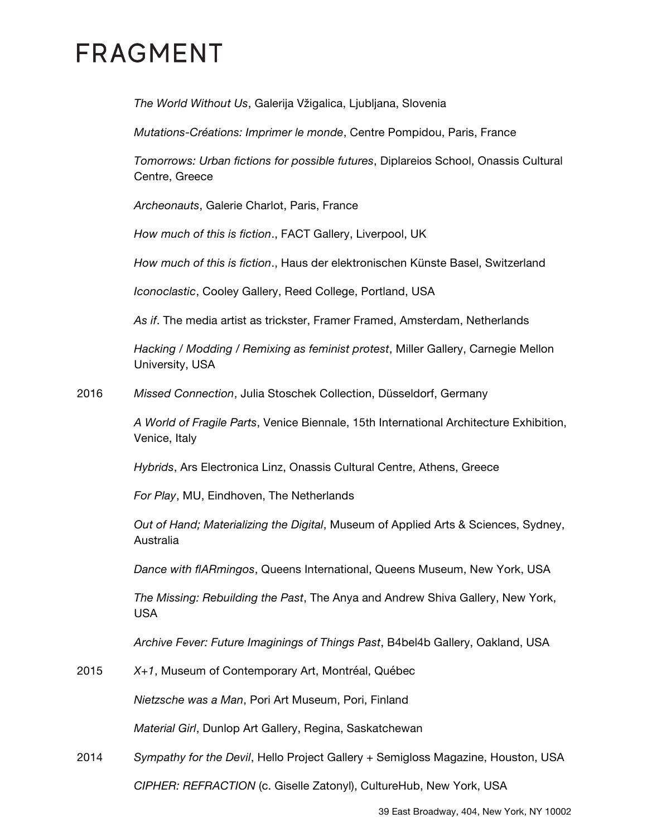*The World Without Us*, Galerija Vžigalica, Ljubljana, Slovenia

*Mutations-Créations: Imprimer le monde*, Centre Pompidou, Paris, France

*Tomorrows: Urban fictions for possible futures*, Diplareios School, Onassis Cultural Centre, Greece

*Archeonauts*, Galerie Charlot, Paris, France

*How much of this is fiction*., FACT Gallery, Liverpool, UK

*How much of this is fiction*., Haus der elektronischen Künste Basel, Switzerland

*Iconoclastic*, Cooley Gallery, Reed College, Portland, USA

*As if*. The media artist as trickster, Framer Framed, Amsterdam, Netherlands

*Hacking / Modding / Remixing as feminist protest*, Miller Gallery, Carnegie Mellon University, USA

2016 *Missed Connection*, Julia Stoschek Collection, Düsseldorf, Germany

*A World of Fragile Parts*, Venice Biennale, 15th International Architecture Exhibition, Venice, Italy

*Hybrids*, Ars Electronica Linz, Onassis Cultural Centre, Athens, Greece

*For Play*, MU, Eindhoven, The Netherlands

*Out of Hand; Materializing the Digital*, Museum of Applied Arts & Sciences, Sydney, Australia

*Dance with flARmingos*, Queens International, Queens Museum, New York, USA

*The Missing: Rebuilding the Past*, The Anya and Andrew Shiva Gallery, New York, USA

*Archive Fever: Future Imaginings of Things Past*, B4bel4b Gallery, Oakland, USA

2015 *X+1*, Museum of Contemporary Art, Montréal, Québec

*Nietzsche was a Man*, Pori Art Museum, Pori, Finland

*Material Girl*, Dunlop Art Gallery, Regina, Saskatchewan

2014 *Sympathy for the Devil*, Hello Project Gallery + Semigloss Magazine, Houston, USA

*CIPHER: REFRACTION* (c. Giselle Zatonyl), CultureHub, New York, USA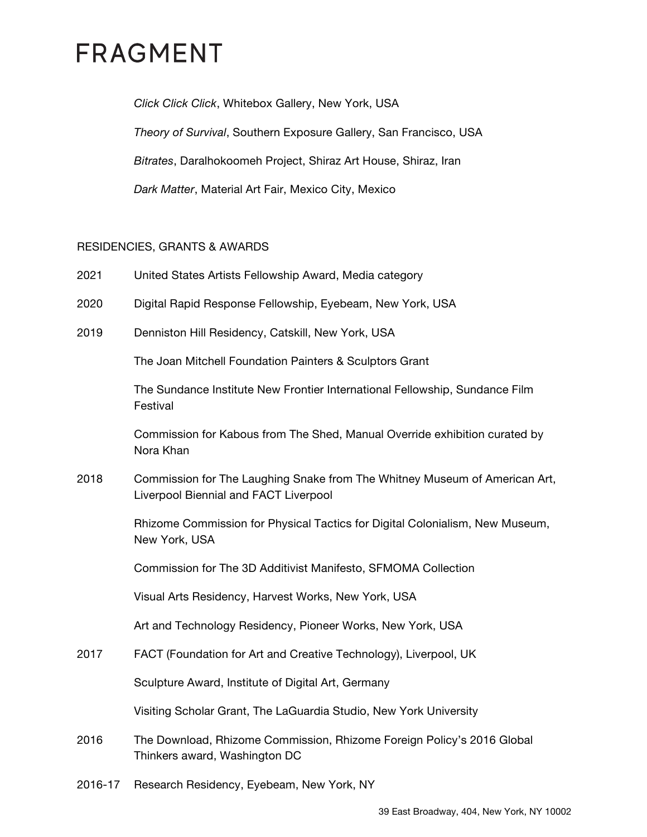*Click Click Click*, Whitebox Gallery, New York, USA *Theory of Survival*, Southern Exposure Gallery, San Francisco, USA *Bitrates*, Daralhokoomeh Project, Shiraz Art House, Shiraz, Iran *Dark Matter*, Material Art Fair, Mexico City, Mexico

#### RESIDENCIES, GRANTS & AWARDS

- 2021 United States Artists Fellowship Award, Media category
- 2020 Digital Rapid Response Fellowship, Eyebeam, New York, USA
- 2019 Denniston Hill Residency, Catskill, New York, USA

The Joan Mitchell Foundation Painters & Sculptors Grant

The Sundance Institute New Frontier International Fellowship, Sundance Film Festival

Commission for Kabous from The Shed, Manual Override exhibition curated by Nora Khan

2018 Commission for The Laughing Snake from The Whitney Museum of American Art, Liverpool Biennial and FACT Liverpool

> Rhizome Commission for Physical Tactics for Digital Colonialism, New Museum, New York, USA

Commission for The 3D Additivist Manifesto, SFMOMA Collection

Visual Arts Residency, Harvest Works, New York, USA

Art and Technology Residency, Pioneer Works, New York, USA

2017 FACT (Foundation for Art and Creative Technology), Liverpool, UK

Sculpture Award, Institute of Digital Art, Germany

Visiting Scholar Grant, The LaGuardia Studio, New York University

- 2016 The Download, Rhizome Commission, Rhizome Foreign Policy's 2016 Global Thinkers award, Washington DC
- 2016-17 Research Residency, Eyebeam, New York, NY